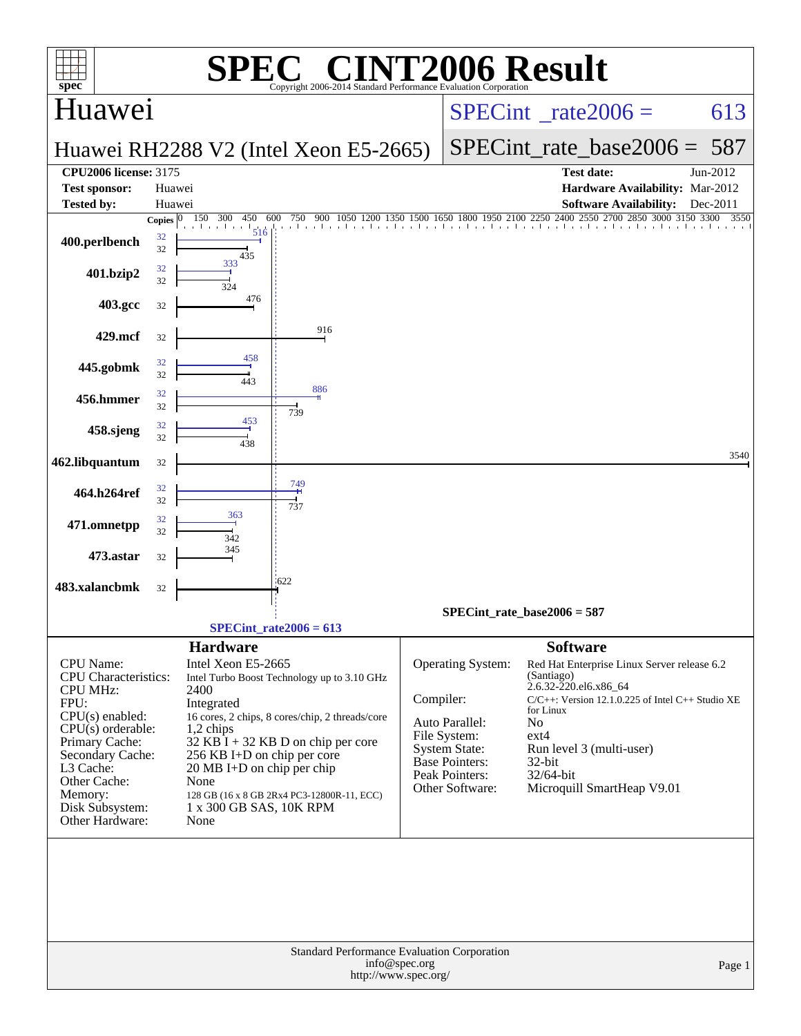| <b>INT2006 Result</b><br>$\bigcap$ $\bigcap$<br>SPE<br>$spec^*$<br>Copyright 2006-2014 Standard Performance Evaluation Corporation                                                                                                  |                          |                                                                                                                                                                                            |                                                                                                                                                                                      |               |                                                                                                                                                  |                                                                                                                                                                                                                                                                                               |          |  |  |  |
|-------------------------------------------------------------------------------------------------------------------------------------------------------------------------------------------------------------------------------------|--------------------------|--------------------------------------------------------------------------------------------------------------------------------------------------------------------------------------------|--------------------------------------------------------------------------------------------------------------------------------------------------------------------------------------|---------------|--------------------------------------------------------------------------------------------------------------------------------------------------|-----------------------------------------------------------------------------------------------------------------------------------------------------------------------------------------------------------------------------------------------------------------------------------------------|----------|--|--|--|
| Huawei                                                                                                                                                                                                                              |                          |                                                                                                                                                                                            |                                                                                                                                                                                      |               | $SPECint^{\circ}$ <sub>_rate2006</sub> =                                                                                                         | 613                                                                                                                                                                                                                                                                                           |          |  |  |  |
|                                                                                                                                                                                                                                     |                          |                                                                                                                                                                                            | Huawei RH2288 V2 (Intel Xeon E5-2665)                                                                                                                                                |               | $SPECint_rate base2006 =$                                                                                                                        | 587                                                                                                                                                                                                                                                                                           |          |  |  |  |
| <b>CPU2006 license: 3175</b><br><b>Test sponsor:</b>                                                                                                                                                                                | Huawei                   |                                                                                                                                                                                            |                                                                                                                                                                                      |               |                                                                                                                                                  | <b>Test date:</b><br>Hardware Availability: Mar-2012                                                                                                                                                                                                                                          | Jun-2012 |  |  |  |
| <b>Tested by:</b>                                                                                                                                                                                                                   | Huawei                   |                                                                                                                                                                                            |                                                                                                                                                                                      |               |                                                                                                                                                  | <b>Software Availability:</b>                                                                                                                                                                                                                                                                 | Dec-2011 |  |  |  |
| 400.perlbench                                                                                                                                                                                                                       | Copies $ 0 $<br>32<br>32 | 150<br>300<br>450<br>and a security<br>a l<br>516<br>435                                                                                                                                   | 600                                                                                                                                                                                  |               |                                                                                                                                                  | 750 900 1050 1200 1350 1500 1650 1800 1950 2100 2250 2400 2550 2700 2850 3000 3150 3300                                                                                                                                                                                                       | 3550     |  |  |  |
| 401.bzip2                                                                                                                                                                                                                           | 32<br>32                 | 333<br>324                                                                                                                                                                                 |                                                                                                                                                                                      |               |                                                                                                                                                  |                                                                                                                                                                                                                                                                                               |          |  |  |  |
| 403.gcc                                                                                                                                                                                                                             | 32                       | 476                                                                                                                                                                                        |                                                                                                                                                                                      |               |                                                                                                                                                  |                                                                                                                                                                                                                                                                                               |          |  |  |  |
| 429.mcf                                                                                                                                                                                                                             | 32                       |                                                                                                                                                                                            | 916                                                                                                                                                                                  |               |                                                                                                                                                  |                                                                                                                                                                                                                                                                                               |          |  |  |  |
| 445.gobmk                                                                                                                                                                                                                           | 32<br>32                 | 458<br>443                                                                                                                                                                                 |                                                                                                                                                                                      |               |                                                                                                                                                  |                                                                                                                                                                                                                                                                                               |          |  |  |  |
| 456.hmmer                                                                                                                                                                                                                           | 32<br>32                 |                                                                                                                                                                                            | 886<br>739                                                                                                                                                                           |               |                                                                                                                                                  |                                                                                                                                                                                                                                                                                               |          |  |  |  |
| 458.sjeng                                                                                                                                                                                                                           | 32<br>32                 | 453<br>438                                                                                                                                                                                 |                                                                                                                                                                                      |               |                                                                                                                                                  |                                                                                                                                                                                                                                                                                               |          |  |  |  |
| 462.libquantum                                                                                                                                                                                                                      | 32                       |                                                                                                                                                                                            |                                                                                                                                                                                      |               |                                                                                                                                                  |                                                                                                                                                                                                                                                                                               | 3540     |  |  |  |
| 464.h264ref                                                                                                                                                                                                                         | 32<br>32                 |                                                                                                                                                                                            | 749<br>737                                                                                                                                                                           |               |                                                                                                                                                  |                                                                                                                                                                                                                                                                                               |          |  |  |  |
| 471.omnetpp                                                                                                                                                                                                                         | 32<br>32                 | 363<br>342                                                                                                                                                                                 |                                                                                                                                                                                      |               |                                                                                                                                                  |                                                                                                                                                                                                                                                                                               |          |  |  |  |
| 473.astar                                                                                                                                                                                                                           | 32                       | 345                                                                                                                                                                                        |                                                                                                                                                                                      |               |                                                                                                                                                  |                                                                                                                                                                                                                                                                                               |          |  |  |  |
| 483.xalancbmk                                                                                                                                                                                                                       | 32                       |                                                                                                                                                                                            | 1622                                                                                                                                                                                 |               |                                                                                                                                                  |                                                                                                                                                                                                                                                                                               |          |  |  |  |
|                                                                                                                                                                                                                                     |                          |                                                                                                                                                                                            | $SPECint_rate2006 = 613$                                                                                                                                                             |               |                                                                                                                                                  | SPECint rate base $2006 = 587$                                                                                                                                                                                                                                                                |          |  |  |  |
| CPU Name:<br><b>CPU</b> Characteristics:<br><b>CPU MHz:</b><br>FPU:<br>$CPU(s)$ enabled:<br>$CPU(s)$ orderable:<br>Primary Cache:<br>Secondary Cache:<br>L3 Cache:<br>Other Cache:<br>Memory:<br>Disk Subsystem:<br>Other Hardware: |                          | <b>Hardware</b><br>Intel Xeon E5-2665<br>2400<br>Integrated<br>1,2 chips<br>256 KB I+D on chip per core<br>$20 \text{ MB I+D}$ on chip per chip<br>None<br>1 x 300 GB SAS, 10K RPM<br>None | Intel Turbo Boost Technology up to 3.10 GHz<br>16 cores, 2 chips, 8 cores/chip, 2 threads/core<br>$32$ KB I + 32 KB D on chip per core<br>128 GB (16 x 8 GB 2Rx4 PC3-12800R-11, ECC) | Compiler:     | <b>Operating System:</b><br>Auto Parallel:<br>File System:<br><b>System State:</b><br><b>Base Pointers:</b><br>Peak Pointers:<br>Other Software: | <b>Software</b><br>Red Hat Enterprise Linux Server release 6.2<br>(Santiago)<br>2.6.32-220.el6.x86_64<br>$C/C++$ : Version 12.1.0.225 of Intel $C++$ Studio XE<br>for Linux<br>N <sub>0</sub><br>$ext{4}$<br>Run level 3 (multi-user)<br>$32$ -bit<br>32/64-bit<br>Microquill SmartHeap V9.01 |          |  |  |  |
|                                                                                                                                                                                                                                     |                          |                                                                                                                                                                                            | Standard Performance Evaluation Corporation<br>http://www.spec.org/                                                                                                                  | info@spec.org |                                                                                                                                                  |                                                                                                                                                                                                                                                                                               | Page 1   |  |  |  |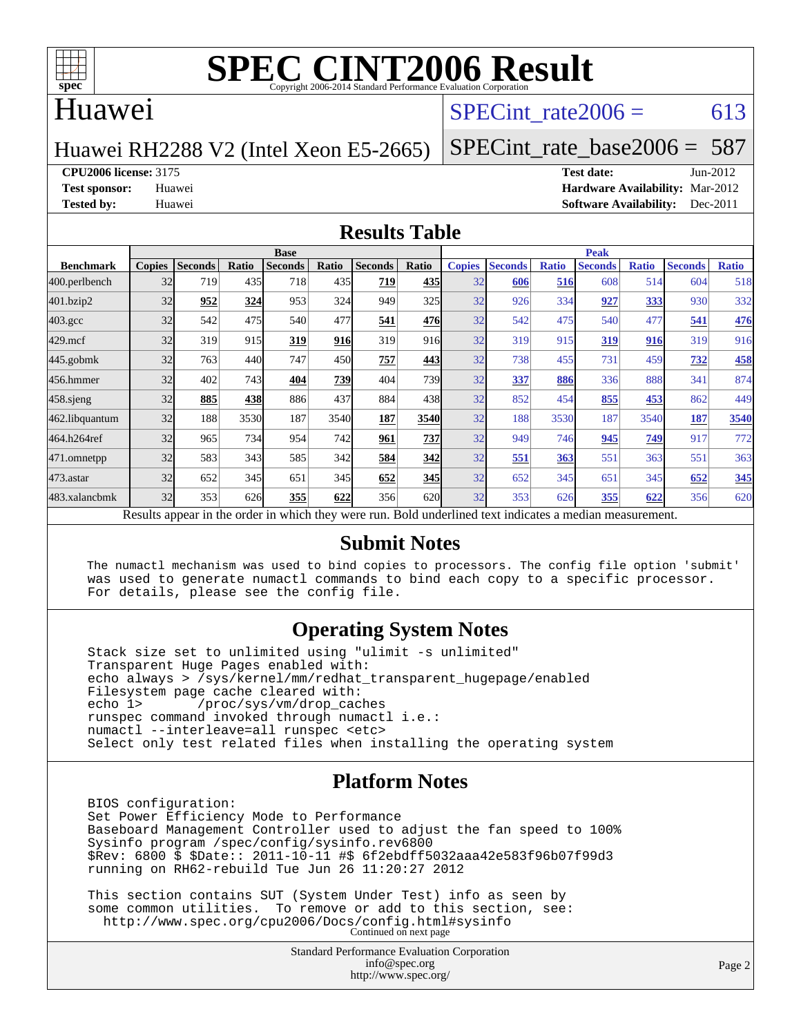

#### Huawei

#### SPECint rate  $2006 = 613$

#### Huawei RH2288 V2 (Intel Xeon E5-2665)

[SPECint\\_rate\\_base2006 =](http://www.spec.org/auto/cpu2006/Docs/result-fields.html#SPECintratebase2006) 587

**[CPU2006 license:](http://www.spec.org/auto/cpu2006/Docs/result-fields.html#CPU2006license)** 3175 **[Test date:](http://www.spec.org/auto/cpu2006/Docs/result-fields.html#Testdate)** Jun-2012

**[Test sponsor:](http://www.spec.org/auto/cpu2006/Docs/result-fields.html#Testsponsor)** Huawei **[Hardware Availability:](http://www.spec.org/auto/cpu2006/Docs/result-fields.html#HardwareAvailability)** Mar-2012 **[Tested by:](http://www.spec.org/auto/cpu2006/Docs/result-fields.html#Testedby)** Huawei **[Software Availability:](http://www.spec.org/auto/cpu2006/Docs/result-fields.html#SoftwareAvailability)** Dec-2011

#### **[Results Table](http://www.spec.org/auto/cpu2006/Docs/result-fields.html#ResultsTable)**

|                                                                                                          | <b>Base</b>   |                |              |                |            |                |       | <b>Peak</b>   |                |              |                |              |                |              |
|----------------------------------------------------------------------------------------------------------|---------------|----------------|--------------|----------------|------------|----------------|-------|---------------|----------------|--------------|----------------|--------------|----------------|--------------|
| <b>Benchmark</b>                                                                                         | <b>Copies</b> | <b>Seconds</b> | <b>Ratio</b> | <b>Seconds</b> | Ratio      | <b>Seconds</b> | Ratio | <b>Copies</b> | <b>Seconds</b> | <b>Ratio</b> | <b>Seconds</b> | <b>Ratio</b> | <b>Seconds</b> | <b>Ratio</b> |
| 400.perlbench                                                                                            | 32            | 719            | 435          | 718            | 435        | 719            | 435   | 32            | 606            | 516          | 608            | 514          | 604            | 518          |
| 401.bzip2                                                                                                | 32            | 952            | 324          | 953            | 324        | 949            | 325   | 32            | 926            | 334          | 927            | <u>333</u>   | 930            | 332          |
| $403.\mathrm{gcc}$                                                                                       | 32            | 542            | 475          | 540            | 477        | 541            | 476   | 32            | 542            | 475          | 540            | 477          | 541            | <u>476</u>   |
| $429$ .mcf                                                                                               | 32            | 319            | 915          | 319            | 916        | 319            | 916   | 32            | 319            | 915          | 319            | 916          | 319            | 916          |
| $445$ .gobm $k$                                                                                          | 32            | 763            | 440          | 747            | 450        | 757            | 443   | 32            | 738            | 455          | 731            | 459          | 732            | 458          |
| 456.hmmer                                                                                                | 32            | 402            | 743          | 404            | <b>739</b> | 404            | 739   | 32            | 337            | 886          | 336            | 888          | 341            | 874          |
| $458$ .sjeng                                                                                             | 32            | 885            | 438          | 886            | 437        | 884            | 438   | 32            | 852            | 454          | 855            | 453          | 862            | 449          |
| 462.libquantum                                                                                           | 32            | 188            | 3530         | 187            | 3540       | 187            | 3540  | 32            | 188            | 3530         | 187            | 3540         | 187            | 3540         |
| 464.h264ref                                                                                              | 32            | 965            | 734          | 954            | 742        | 961            | 737   | 32            | 949            | 746          | 945            | 749          | 917            | 772          |
| 471.omnetpp                                                                                              | 32            | 583            | 343          | 585            | 342        | 584            | 342   | 32            | 551            | 363          | 551            | 363          | 551            | 363          |
| $473$ . astar                                                                                            | 32            | 652            | 345          | 651            | 345        | 652            | 345   | 32            | 652            | 345          | 651            | 345          | 652            | 345          |
| 483.xalancbmk                                                                                            | 32            | 353            | 626          | 355            | 622        | 356            | 620   | 32            | 353            | 626          | 355            | 622          | 356            | 620          |
| Results appear in the order in which they were run. Bold underlined text indicates a median measurement. |               |                |              |                |            |                |       |               |                |              |                |              |                |              |

#### **[Submit Notes](http://www.spec.org/auto/cpu2006/Docs/result-fields.html#SubmitNotes)**

 The numactl mechanism was used to bind copies to processors. The config file option 'submit' was used to generate numactl commands to bind each copy to a specific processor. For details, please see the config file.

#### **[Operating System Notes](http://www.spec.org/auto/cpu2006/Docs/result-fields.html#OperatingSystemNotes)**

 Stack size set to unlimited using "ulimit -s unlimited" Transparent Huge Pages enabled with: echo always > /sys/kernel/mm/redhat\_transparent\_hugepage/enabled Filesystem page cache cleared with:<br>echo 1> /proc/sys/vm/drop cac /proc/sys/vm/drop\_caches runspec command invoked through numactl i.e.: numactl --interleave=all runspec <etc> Select only test related files when installing the operating system

#### **[Platform Notes](http://www.spec.org/auto/cpu2006/Docs/result-fields.html#PlatformNotes)**

 BIOS configuration: Set Power Efficiency Mode to Performance Baseboard Management Controller used to adjust the fan speed to 100% Sysinfo program /spec/config/sysinfo.rev6800 \$Rev: 6800 \$ \$Date:: 2011-10-11 #\$ 6f2ebdff5032aaa42e583f96b07f99d3 running on RH62-rebuild Tue Jun 26 11:20:27 2012

 This section contains SUT (System Under Test) info as seen by some common utilities. To remove or add to this section, see: <http://www.spec.org/cpu2006/Docs/config.html#sysinfo> Continued on next page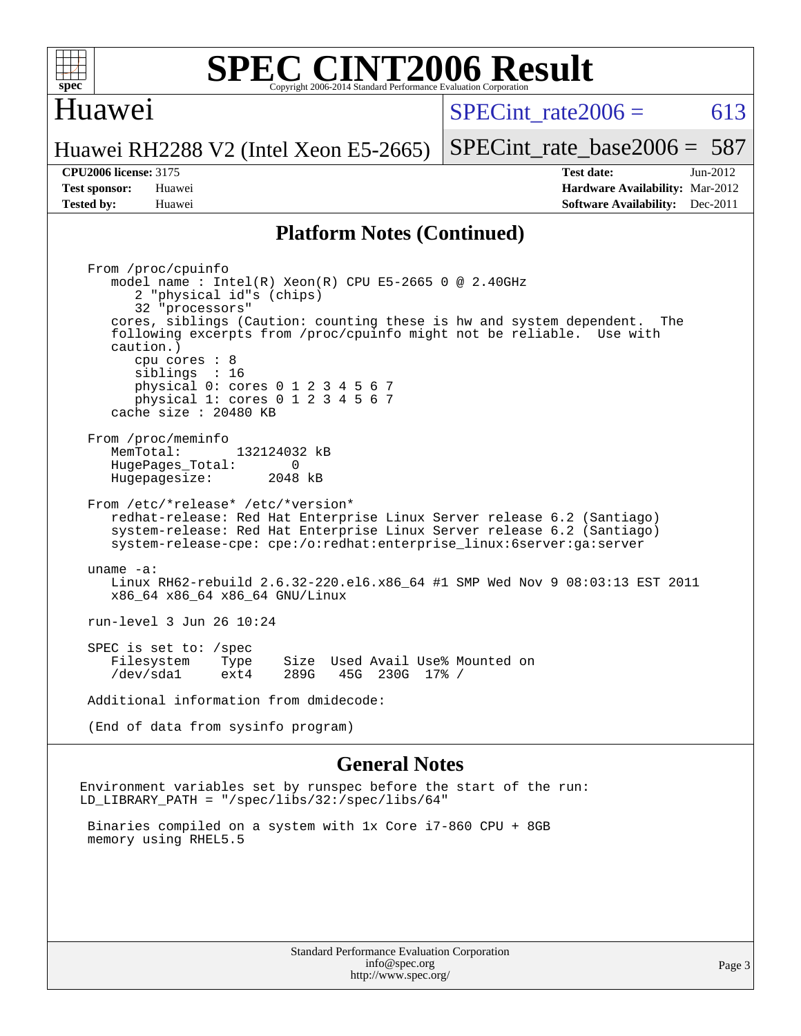

#### Huawei

SPECint rate $2006 = 613$ 

Huawei RH2288 V2 (Intel Xeon E5-2665)

[SPECint\\_rate\\_base2006 =](http://www.spec.org/auto/cpu2006/Docs/result-fields.html#SPECintratebase2006) 587

**[CPU2006 license:](http://www.spec.org/auto/cpu2006/Docs/result-fields.html#CPU2006license)** 3175 **[Test date:](http://www.spec.org/auto/cpu2006/Docs/result-fields.html#Testdate)** Jun-2012 **[Test sponsor:](http://www.spec.org/auto/cpu2006/Docs/result-fields.html#Testsponsor)** Huawei **[Hardware Availability:](http://www.spec.org/auto/cpu2006/Docs/result-fields.html#HardwareAvailability)** Mar-2012 **[Tested by:](http://www.spec.org/auto/cpu2006/Docs/result-fields.html#Testedby)** Huawei **[Software Availability:](http://www.spec.org/auto/cpu2006/Docs/result-fields.html#SoftwareAvailability)** Dec-2011

#### **[Platform Notes \(Continued\)](http://www.spec.org/auto/cpu2006/Docs/result-fields.html#PlatformNotes)**

 From /proc/cpuinfo model name : Intel(R) Xeon(R) CPU E5-2665 0 @ 2.40GHz 2 "physical id"s (chips) 32 "processors" cores, siblings (Caution: counting these is hw and system dependent. The following excerpts from /proc/cpuinfo might not be reliable. Use with caution.) cpu cores : 8 siblings : 16 physical 0: cores 0 1 2 3 4 5 6 7 physical 1: cores 0 1 2 3 4 5 6 7 cache size : 20480 KB From /proc/meminfo MemTotal: 132124032 kB<br>HugePages Total: 0 HugePages\_Total: 0 Hugepagesize: 2048 kB From /etc/\*release\* /etc/\*version\* redhat-release: Red Hat Enterprise Linux Server release 6.2 (Santiago) system-release: Red Hat Enterprise Linux Server release 6.2 (Santiago) system-release-cpe: cpe:/o:redhat:enterprise\_linux:6server:ga:server uname -a: Linux RH62-rebuild 2.6.32-220.el6.x86\_64 #1 SMP Wed Nov 9 08:03:13 EST 2011 x86\_64 x86\_64 x86\_64 GNU/Linux run-level 3 Jun 26 10:24 SPEC is set to: /spec Filesystem Type Size Used Avail Use% Mounted on<br>
/dev/sdal ext4 289G 45G 230G 17% / /dev/sda1 ext4 289G 45G 230G 17% / Additional information from dmidecode: (End of data from sysinfo program)

#### **[General Notes](http://www.spec.org/auto/cpu2006/Docs/result-fields.html#GeneralNotes)**

Environment variables set by runspec before the start of the run: LD\_LIBRARY\_PATH = "/spec/libs/32:/spec/libs/64"

 Binaries compiled on a system with 1x Core i7-860 CPU + 8GB memory using RHEL5.5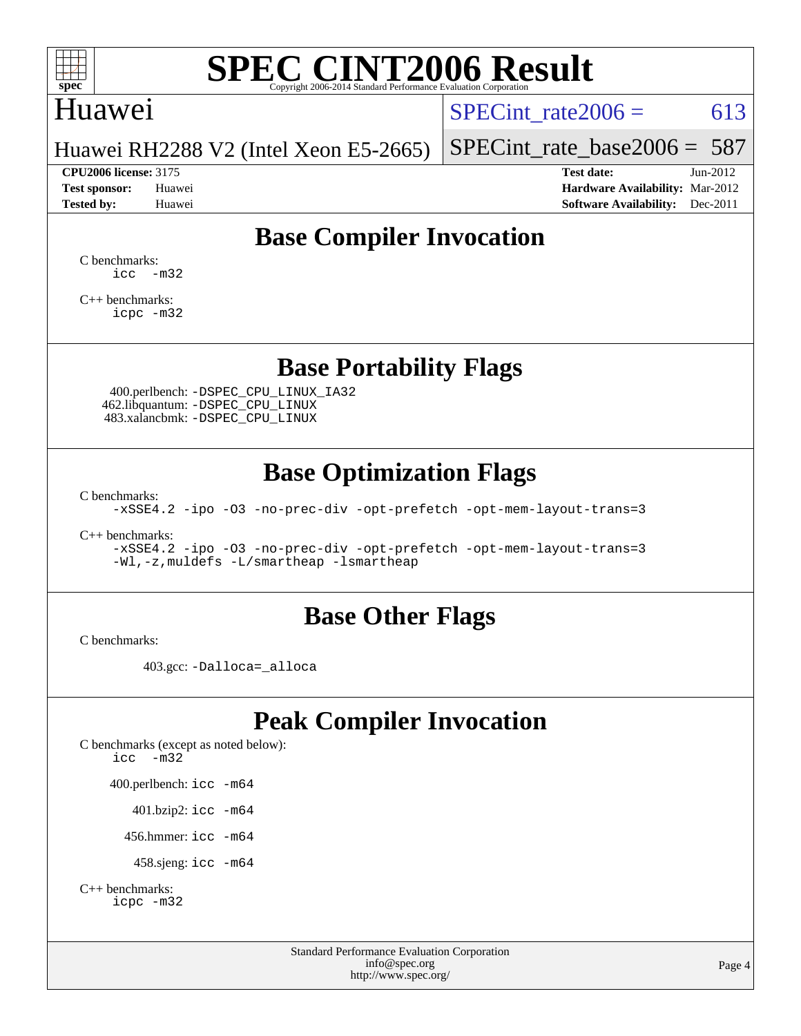

#### Huawei

SPECint rate  $2006 = 613$ 

Huawei RH2288 V2 (Intel Xeon E5-2665)

#### **[CPU2006 license:](http://www.spec.org/auto/cpu2006/Docs/result-fields.html#CPU2006license)** 3175 **[Test date:](http://www.spec.org/auto/cpu2006/Docs/result-fields.html#Testdate)** Jun-2012

[SPECint\\_rate\\_base2006 =](http://www.spec.org/auto/cpu2006/Docs/result-fields.html#SPECintratebase2006) 587

**[Test sponsor:](http://www.spec.org/auto/cpu2006/Docs/result-fields.html#Testsponsor)** Huawei **[Hardware Availability:](http://www.spec.org/auto/cpu2006/Docs/result-fields.html#HardwareAvailability)** Mar-2012 **[Tested by:](http://www.spec.org/auto/cpu2006/Docs/result-fields.html#Testedby)** Huawei **[Software Availability:](http://www.spec.org/auto/cpu2006/Docs/result-fields.html#SoftwareAvailability)** Dec-2011

## **[Base Compiler Invocation](http://www.spec.org/auto/cpu2006/Docs/result-fields.html#BaseCompilerInvocation)**

[C benchmarks](http://www.spec.org/auto/cpu2006/Docs/result-fields.html#Cbenchmarks): [icc -m32](http://www.spec.org/cpu2006/results/res2012q3/cpu2006-20120628-23258.flags.html#user_CCbase_intel_icc_5ff4a39e364c98233615fdd38438c6f2)

[C++ benchmarks:](http://www.spec.org/auto/cpu2006/Docs/result-fields.html#CXXbenchmarks) [icpc -m32](http://www.spec.org/cpu2006/results/res2012q3/cpu2006-20120628-23258.flags.html#user_CXXbase_intel_icpc_4e5a5ef1a53fd332b3c49e69c3330699)

## **[Base Portability Flags](http://www.spec.org/auto/cpu2006/Docs/result-fields.html#BasePortabilityFlags)**

 400.perlbench: [-DSPEC\\_CPU\\_LINUX\\_IA32](http://www.spec.org/cpu2006/results/res2012q3/cpu2006-20120628-23258.flags.html#b400.perlbench_baseCPORTABILITY_DSPEC_CPU_LINUX_IA32) 462.libquantum: [-DSPEC\\_CPU\\_LINUX](http://www.spec.org/cpu2006/results/res2012q3/cpu2006-20120628-23258.flags.html#b462.libquantum_baseCPORTABILITY_DSPEC_CPU_LINUX) 483.xalancbmk: [-DSPEC\\_CPU\\_LINUX](http://www.spec.org/cpu2006/results/res2012q3/cpu2006-20120628-23258.flags.html#b483.xalancbmk_baseCXXPORTABILITY_DSPEC_CPU_LINUX)

## **[Base Optimization Flags](http://www.spec.org/auto/cpu2006/Docs/result-fields.html#BaseOptimizationFlags)**

[C benchmarks](http://www.spec.org/auto/cpu2006/Docs/result-fields.html#Cbenchmarks):

[-xSSE4.2](http://www.spec.org/cpu2006/results/res2012q3/cpu2006-20120628-23258.flags.html#user_CCbase_f-xSSE42_f91528193cf0b216347adb8b939d4107) [-ipo](http://www.spec.org/cpu2006/results/res2012q3/cpu2006-20120628-23258.flags.html#user_CCbase_f-ipo) [-O3](http://www.spec.org/cpu2006/results/res2012q3/cpu2006-20120628-23258.flags.html#user_CCbase_f-O3) [-no-prec-div](http://www.spec.org/cpu2006/results/res2012q3/cpu2006-20120628-23258.flags.html#user_CCbase_f-no-prec-div) [-opt-prefetch](http://www.spec.org/cpu2006/results/res2012q3/cpu2006-20120628-23258.flags.html#user_CCbase_f-opt-prefetch) [-opt-mem-layout-trans=3](http://www.spec.org/cpu2006/results/res2012q3/cpu2006-20120628-23258.flags.html#user_CCbase_f-opt-mem-layout-trans_a7b82ad4bd7abf52556d4961a2ae94d5)

[C++ benchmarks:](http://www.spec.org/auto/cpu2006/Docs/result-fields.html#CXXbenchmarks)

[-xSSE4.2](http://www.spec.org/cpu2006/results/res2012q3/cpu2006-20120628-23258.flags.html#user_CXXbase_f-xSSE42_f91528193cf0b216347adb8b939d4107) [-ipo](http://www.spec.org/cpu2006/results/res2012q3/cpu2006-20120628-23258.flags.html#user_CXXbase_f-ipo) [-O3](http://www.spec.org/cpu2006/results/res2012q3/cpu2006-20120628-23258.flags.html#user_CXXbase_f-O3) [-no-prec-div](http://www.spec.org/cpu2006/results/res2012q3/cpu2006-20120628-23258.flags.html#user_CXXbase_f-no-prec-div) [-opt-prefetch](http://www.spec.org/cpu2006/results/res2012q3/cpu2006-20120628-23258.flags.html#user_CXXbase_f-opt-prefetch) [-opt-mem-layout-trans=3](http://www.spec.org/cpu2006/results/res2012q3/cpu2006-20120628-23258.flags.html#user_CXXbase_f-opt-mem-layout-trans_a7b82ad4bd7abf52556d4961a2ae94d5) [-Wl,-z,muldefs](http://www.spec.org/cpu2006/results/res2012q3/cpu2006-20120628-23258.flags.html#user_CXXbase_link_force_multiple1_74079c344b956b9658436fd1b6dd3a8a) [-L/smartheap -lsmartheap](http://www.spec.org/cpu2006/results/res2012q3/cpu2006-20120628-23258.flags.html#user_CXXbase_SmartHeap_7c9e394a5779e1a7fec7c221e123830c)

## **[Base Other Flags](http://www.spec.org/auto/cpu2006/Docs/result-fields.html#BaseOtherFlags)**

[C benchmarks](http://www.spec.org/auto/cpu2006/Docs/result-fields.html#Cbenchmarks):

403.gcc: [-Dalloca=\\_alloca](http://www.spec.org/cpu2006/results/res2012q3/cpu2006-20120628-23258.flags.html#b403.gcc_baseEXTRA_CFLAGS_Dalloca_be3056838c12de2578596ca5467af7f3)

## **[Peak Compiler Invocation](http://www.spec.org/auto/cpu2006/Docs/result-fields.html#PeakCompilerInvocation)**

[C benchmarks \(except as noted below\)](http://www.spec.org/auto/cpu2006/Docs/result-fields.html#Cbenchmarksexceptasnotedbelow): [icc -m32](http://www.spec.org/cpu2006/results/res2012q3/cpu2006-20120628-23258.flags.html#user_CCpeak_intel_icc_5ff4a39e364c98233615fdd38438c6f2) 400.perlbench: [icc -m64](http://www.spec.org/cpu2006/results/res2012q3/cpu2006-20120628-23258.flags.html#user_peakCCLD400_perlbench_intel_icc_64bit_bda6cc9af1fdbb0edc3795bac97ada53) 401.bzip2: [icc -m64](http://www.spec.org/cpu2006/results/res2012q3/cpu2006-20120628-23258.flags.html#user_peakCCLD401_bzip2_intel_icc_64bit_bda6cc9af1fdbb0edc3795bac97ada53)

456.hmmer: [icc -m64](http://www.spec.org/cpu2006/results/res2012q3/cpu2006-20120628-23258.flags.html#user_peakCCLD456_hmmer_intel_icc_64bit_bda6cc9af1fdbb0edc3795bac97ada53)

458.sjeng: [icc -m64](http://www.spec.org/cpu2006/results/res2012q3/cpu2006-20120628-23258.flags.html#user_peakCCLD458_sjeng_intel_icc_64bit_bda6cc9af1fdbb0edc3795bac97ada53)

```
C++ benchmarks: 
    icpc -m32
```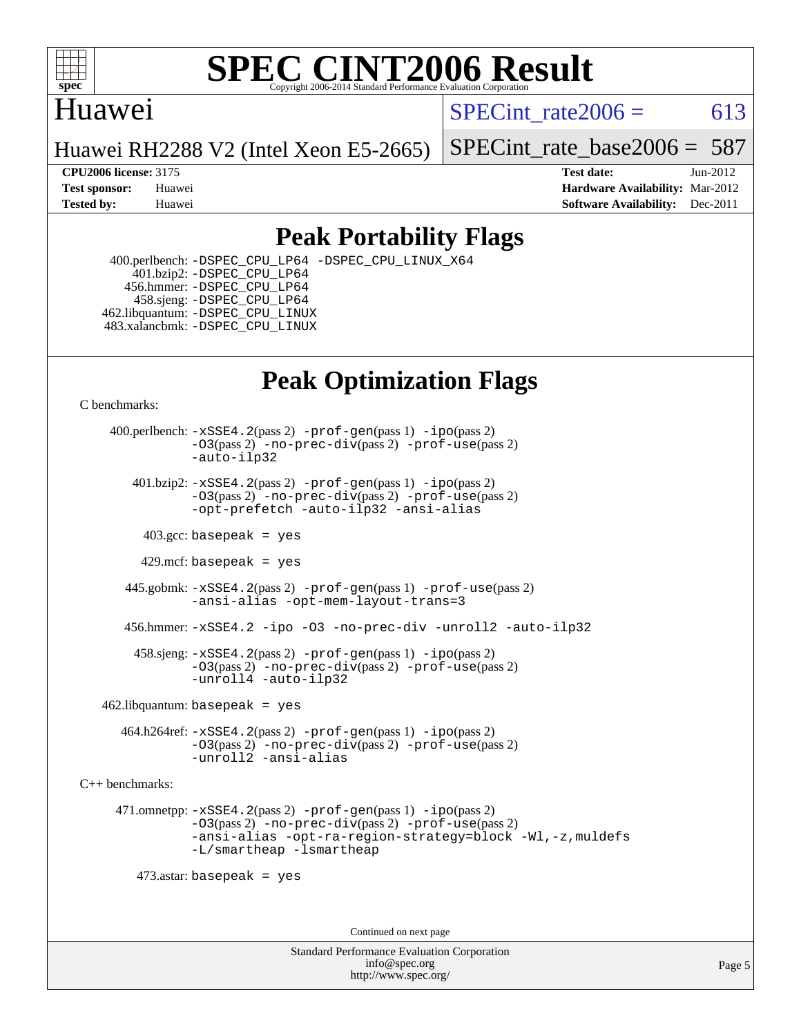

## Huawei

SPECint rate  $2006 = 613$ 

Huawei RH2288 V2 (Intel Xeon E5-2665)

[SPECint\\_rate\\_base2006 =](http://www.spec.org/auto/cpu2006/Docs/result-fields.html#SPECintratebase2006) 587

**[CPU2006 license:](http://www.spec.org/auto/cpu2006/Docs/result-fields.html#CPU2006license)** 3175 **[Test date:](http://www.spec.org/auto/cpu2006/Docs/result-fields.html#Testdate)** Jun-2012 **[Test sponsor:](http://www.spec.org/auto/cpu2006/Docs/result-fields.html#Testsponsor)** Huawei **[Hardware Availability:](http://www.spec.org/auto/cpu2006/Docs/result-fields.html#HardwareAvailability)** Mar-2012 **[Tested by:](http://www.spec.org/auto/cpu2006/Docs/result-fields.html#Testedby)** Huawei **[Software Availability:](http://www.spec.org/auto/cpu2006/Docs/result-fields.html#SoftwareAvailability)** Dec-2011

## **[Peak Portability Flags](http://www.spec.org/auto/cpu2006/Docs/result-fields.html#PeakPortabilityFlags)**

 400.perlbench: [-DSPEC\\_CPU\\_LP64](http://www.spec.org/cpu2006/results/res2012q3/cpu2006-20120628-23258.flags.html#b400.perlbench_peakCPORTABILITY_DSPEC_CPU_LP64) [-DSPEC\\_CPU\\_LINUX\\_X64](http://www.spec.org/cpu2006/results/res2012q3/cpu2006-20120628-23258.flags.html#b400.perlbench_peakCPORTABILITY_DSPEC_CPU_LINUX_X64) 401.bzip2: [-DSPEC\\_CPU\\_LP64](http://www.spec.org/cpu2006/results/res2012q3/cpu2006-20120628-23258.flags.html#suite_peakCPORTABILITY401_bzip2_DSPEC_CPU_LP64) 456.hmmer: [-DSPEC\\_CPU\\_LP64](http://www.spec.org/cpu2006/results/res2012q3/cpu2006-20120628-23258.flags.html#suite_peakCPORTABILITY456_hmmer_DSPEC_CPU_LP64) 458.sjeng: [-DSPEC\\_CPU\\_LP64](http://www.spec.org/cpu2006/results/res2012q3/cpu2006-20120628-23258.flags.html#suite_peakCPORTABILITY458_sjeng_DSPEC_CPU_LP64) 462.libquantum: [-DSPEC\\_CPU\\_LINUX](http://www.spec.org/cpu2006/results/res2012q3/cpu2006-20120628-23258.flags.html#b462.libquantum_peakCPORTABILITY_DSPEC_CPU_LINUX) 483.xalancbmk: [-DSPEC\\_CPU\\_LINUX](http://www.spec.org/cpu2006/results/res2012q3/cpu2006-20120628-23258.flags.html#b483.xalancbmk_peakCXXPORTABILITY_DSPEC_CPU_LINUX)

# **[Peak Optimization Flags](http://www.spec.org/auto/cpu2006/Docs/result-fields.html#PeakOptimizationFlags)**

[C benchmarks](http://www.spec.org/auto/cpu2006/Docs/result-fields.html#Cbenchmarks):

 400.perlbench: [-xSSE4.2](http://www.spec.org/cpu2006/results/res2012q3/cpu2006-20120628-23258.flags.html#user_peakPASS2_CFLAGSPASS2_LDCFLAGS400_perlbench_f-xSSE42_f91528193cf0b216347adb8b939d4107)(pass 2) [-prof-gen](http://www.spec.org/cpu2006/results/res2012q3/cpu2006-20120628-23258.flags.html#user_peakPASS1_CFLAGSPASS1_LDCFLAGS400_perlbench_prof_gen_e43856698f6ca7b7e442dfd80e94a8fc)(pass 1) [-ipo](http://www.spec.org/cpu2006/results/res2012q3/cpu2006-20120628-23258.flags.html#user_peakPASS2_CFLAGSPASS2_LDCFLAGS400_perlbench_f-ipo)(pass 2) [-O3](http://www.spec.org/cpu2006/results/res2012q3/cpu2006-20120628-23258.flags.html#user_peakPASS2_CFLAGSPASS2_LDCFLAGS400_perlbench_f-O3)(pass 2) [-no-prec-div](http://www.spec.org/cpu2006/results/res2012q3/cpu2006-20120628-23258.flags.html#user_peakPASS2_CFLAGSPASS2_LDCFLAGS400_perlbench_f-no-prec-div)(pass 2) [-prof-use](http://www.spec.org/cpu2006/results/res2012q3/cpu2006-20120628-23258.flags.html#user_peakPASS2_CFLAGSPASS2_LDCFLAGS400_perlbench_prof_use_bccf7792157ff70d64e32fe3e1250b55)(pass 2) [-auto-ilp32](http://www.spec.org/cpu2006/results/res2012q3/cpu2006-20120628-23258.flags.html#user_peakCOPTIMIZE400_perlbench_f-auto-ilp32)  $401.bzip2: -xSSE4.2(pass 2) -prof-qen(pass 1) -ipo(pass 2)$  $401.bzip2: -xSSE4.2(pass 2) -prof-qen(pass 1) -ipo(pass 2)$  $401.bzip2: -xSSE4.2(pass 2) -prof-qen(pass 1) -ipo(pass 2)$  $401.bzip2: -xSSE4.2(pass 2) -prof-qen(pass 1) -ipo(pass 2)$  $401.bzip2: -xSSE4.2(pass 2) -prof-qen(pass 1) -ipo(pass 2)$ [-O3](http://www.spec.org/cpu2006/results/res2012q3/cpu2006-20120628-23258.flags.html#user_peakPASS2_CFLAGSPASS2_LDCFLAGS401_bzip2_f-O3)(pass 2) [-no-prec-div](http://www.spec.org/cpu2006/results/res2012q3/cpu2006-20120628-23258.flags.html#user_peakPASS2_CFLAGSPASS2_LDCFLAGS401_bzip2_f-no-prec-div)(pass 2) [-prof-use](http://www.spec.org/cpu2006/results/res2012q3/cpu2006-20120628-23258.flags.html#user_peakPASS2_CFLAGSPASS2_LDCFLAGS401_bzip2_prof_use_bccf7792157ff70d64e32fe3e1250b55)(pass 2) [-opt-prefetch](http://www.spec.org/cpu2006/results/res2012q3/cpu2006-20120628-23258.flags.html#user_peakCOPTIMIZE401_bzip2_f-opt-prefetch) [-auto-ilp32](http://www.spec.org/cpu2006/results/res2012q3/cpu2006-20120628-23258.flags.html#user_peakCOPTIMIZE401_bzip2_f-auto-ilp32) [-ansi-alias](http://www.spec.org/cpu2006/results/res2012q3/cpu2006-20120628-23258.flags.html#user_peakCOPTIMIZE401_bzip2_f-ansi-alias)  $403.\text{sec: basepeak}$  = yes 429.mcf: basepeak = yes 445.gobmk: [-xSSE4.2](http://www.spec.org/cpu2006/results/res2012q3/cpu2006-20120628-23258.flags.html#user_peakPASS2_CFLAGSPASS2_LDCFLAGS445_gobmk_f-xSSE42_f91528193cf0b216347adb8b939d4107)(pass 2) [-prof-gen](http://www.spec.org/cpu2006/results/res2012q3/cpu2006-20120628-23258.flags.html#user_peakPASS1_CFLAGSPASS1_LDCFLAGS445_gobmk_prof_gen_e43856698f6ca7b7e442dfd80e94a8fc)(pass 1) [-prof-use](http://www.spec.org/cpu2006/results/res2012q3/cpu2006-20120628-23258.flags.html#user_peakPASS2_CFLAGSPASS2_LDCFLAGS445_gobmk_prof_use_bccf7792157ff70d64e32fe3e1250b55)(pass 2) [-ansi-alias](http://www.spec.org/cpu2006/results/res2012q3/cpu2006-20120628-23258.flags.html#user_peakCOPTIMIZE445_gobmk_f-ansi-alias) [-opt-mem-layout-trans=3](http://www.spec.org/cpu2006/results/res2012q3/cpu2006-20120628-23258.flags.html#user_peakCOPTIMIZE445_gobmk_f-opt-mem-layout-trans_a7b82ad4bd7abf52556d4961a2ae94d5) 456.hmmer: [-xSSE4.2](http://www.spec.org/cpu2006/results/res2012q3/cpu2006-20120628-23258.flags.html#user_peakCOPTIMIZE456_hmmer_f-xSSE42_f91528193cf0b216347adb8b939d4107) [-ipo](http://www.spec.org/cpu2006/results/res2012q3/cpu2006-20120628-23258.flags.html#user_peakCOPTIMIZE456_hmmer_f-ipo) [-O3](http://www.spec.org/cpu2006/results/res2012q3/cpu2006-20120628-23258.flags.html#user_peakCOPTIMIZE456_hmmer_f-O3) [-no-prec-div](http://www.spec.org/cpu2006/results/res2012q3/cpu2006-20120628-23258.flags.html#user_peakCOPTIMIZE456_hmmer_f-no-prec-div) [-unroll2](http://www.spec.org/cpu2006/results/res2012q3/cpu2006-20120628-23258.flags.html#user_peakCOPTIMIZE456_hmmer_f-unroll_784dae83bebfb236979b41d2422d7ec2) [-auto-ilp32](http://www.spec.org/cpu2006/results/res2012q3/cpu2006-20120628-23258.flags.html#user_peakCOPTIMIZE456_hmmer_f-auto-ilp32) 458.sjeng: [-xSSE4.2](http://www.spec.org/cpu2006/results/res2012q3/cpu2006-20120628-23258.flags.html#user_peakPASS2_CFLAGSPASS2_LDCFLAGS458_sjeng_f-xSSE42_f91528193cf0b216347adb8b939d4107)(pass 2) [-prof-gen](http://www.spec.org/cpu2006/results/res2012q3/cpu2006-20120628-23258.flags.html#user_peakPASS1_CFLAGSPASS1_LDCFLAGS458_sjeng_prof_gen_e43856698f6ca7b7e442dfd80e94a8fc)(pass 1) [-ipo](http://www.spec.org/cpu2006/results/res2012q3/cpu2006-20120628-23258.flags.html#user_peakPASS2_CFLAGSPASS2_LDCFLAGS458_sjeng_f-ipo)(pass 2) [-O3](http://www.spec.org/cpu2006/results/res2012q3/cpu2006-20120628-23258.flags.html#user_peakPASS2_CFLAGSPASS2_LDCFLAGS458_sjeng_f-O3)(pass 2) [-no-prec-div](http://www.spec.org/cpu2006/results/res2012q3/cpu2006-20120628-23258.flags.html#user_peakPASS2_CFLAGSPASS2_LDCFLAGS458_sjeng_f-no-prec-div)(pass 2) [-prof-use](http://www.spec.org/cpu2006/results/res2012q3/cpu2006-20120628-23258.flags.html#user_peakPASS2_CFLAGSPASS2_LDCFLAGS458_sjeng_prof_use_bccf7792157ff70d64e32fe3e1250b55)(pass 2) [-unroll4](http://www.spec.org/cpu2006/results/res2012q3/cpu2006-20120628-23258.flags.html#user_peakCOPTIMIZE458_sjeng_f-unroll_4e5e4ed65b7fd20bdcd365bec371b81f) [-auto-ilp32](http://www.spec.org/cpu2006/results/res2012q3/cpu2006-20120628-23258.flags.html#user_peakCOPTIMIZE458_sjeng_f-auto-ilp32)  $462$ .libquantum: basepeak = yes

 464.h264ref: [-xSSE4.2](http://www.spec.org/cpu2006/results/res2012q3/cpu2006-20120628-23258.flags.html#user_peakPASS2_CFLAGSPASS2_LDCFLAGS464_h264ref_f-xSSE42_f91528193cf0b216347adb8b939d4107)(pass 2) [-prof-gen](http://www.spec.org/cpu2006/results/res2012q3/cpu2006-20120628-23258.flags.html#user_peakPASS1_CFLAGSPASS1_LDCFLAGS464_h264ref_prof_gen_e43856698f6ca7b7e442dfd80e94a8fc)(pass 1) [-ipo](http://www.spec.org/cpu2006/results/res2012q3/cpu2006-20120628-23258.flags.html#user_peakPASS2_CFLAGSPASS2_LDCFLAGS464_h264ref_f-ipo)(pass 2) [-O3](http://www.spec.org/cpu2006/results/res2012q3/cpu2006-20120628-23258.flags.html#user_peakPASS2_CFLAGSPASS2_LDCFLAGS464_h264ref_f-O3)(pass 2) [-no-prec-div](http://www.spec.org/cpu2006/results/res2012q3/cpu2006-20120628-23258.flags.html#user_peakPASS2_CFLAGSPASS2_LDCFLAGS464_h264ref_f-no-prec-div)(pass 2) [-prof-use](http://www.spec.org/cpu2006/results/res2012q3/cpu2006-20120628-23258.flags.html#user_peakPASS2_CFLAGSPASS2_LDCFLAGS464_h264ref_prof_use_bccf7792157ff70d64e32fe3e1250b55)(pass 2) [-unroll2](http://www.spec.org/cpu2006/results/res2012q3/cpu2006-20120628-23258.flags.html#user_peakCOPTIMIZE464_h264ref_f-unroll_784dae83bebfb236979b41d2422d7ec2) [-ansi-alias](http://www.spec.org/cpu2006/results/res2012q3/cpu2006-20120628-23258.flags.html#user_peakCOPTIMIZE464_h264ref_f-ansi-alias)

[C++ benchmarks:](http://www.spec.org/auto/cpu2006/Docs/result-fields.html#CXXbenchmarks)

 471.omnetpp: [-xSSE4.2](http://www.spec.org/cpu2006/results/res2012q3/cpu2006-20120628-23258.flags.html#user_peakPASS2_CXXFLAGSPASS2_LDCXXFLAGS471_omnetpp_f-xSSE42_f91528193cf0b216347adb8b939d4107)(pass 2) [-prof-gen](http://www.spec.org/cpu2006/results/res2012q3/cpu2006-20120628-23258.flags.html#user_peakPASS1_CXXFLAGSPASS1_LDCXXFLAGS471_omnetpp_prof_gen_e43856698f6ca7b7e442dfd80e94a8fc)(pass 1) [-ipo](http://www.spec.org/cpu2006/results/res2012q3/cpu2006-20120628-23258.flags.html#user_peakPASS2_CXXFLAGSPASS2_LDCXXFLAGS471_omnetpp_f-ipo)(pass 2) [-O3](http://www.spec.org/cpu2006/results/res2012q3/cpu2006-20120628-23258.flags.html#user_peakPASS2_CXXFLAGSPASS2_LDCXXFLAGS471_omnetpp_f-O3)(pass 2) [-no-prec-div](http://www.spec.org/cpu2006/results/res2012q3/cpu2006-20120628-23258.flags.html#user_peakPASS2_CXXFLAGSPASS2_LDCXXFLAGS471_omnetpp_f-no-prec-div)(pass 2) [-prof-use](http://www.spec.org/cpu2006/results/res2012q3/cpu2006-20120628-23258.flags.html#user_peakPASS2_CXXFLAGSPASS2_LDCXXFLAGS471_omnetpp_prof_use_bccf7792157ff70d64e32fe3e1250b55)(pass 2) [-ansi-alias](http://www.spec.org/cpu2006/results/res2012q3/cpu2006-20120628-23258.flags.html#user_peakCXXOPTIMIZE471_omnetpp_f-ansi-alias) [-opt-ra-region-strategy=block](http://www.spec.org/cpu2006/results/res2012q3/cpu2006-20120628-23258.flags.html#user_peakCXXOPTIMIZE471_omnetpp_f-opt-ra-region-strategy_a0a37c372d03933b2a18d4af463c1f69) [-Wl,-z,muldefs](http://www.spec.org/cpu2006/results/res2012q3/cpu2006-20120628-23258.flags.html#user_peakEXTRA_LDFLAGS471_omnetpp_link_force_multiple1_74079c344b956b9658436fd1b6dd3a8a) [-L/smartheap -lsmartheap](http://www.spec.org/cpu2006/results/res2012q3/cpu2006-20120628-23258.flags.html#user_peakEXTRA_LIBS471_omnetpp_SmartHeap_7c9e394a5779e1a7fec7c221e123830c)

473.astar: basepeak = yes

Continued on next page